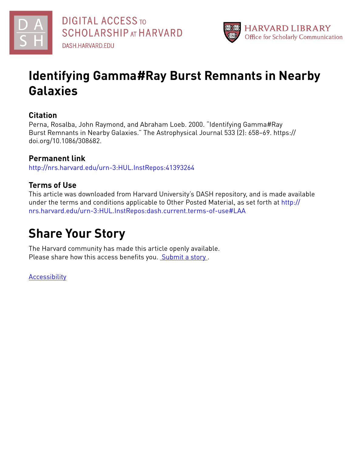



# **Identifying Gamma#Ray Burst Remnants in Nearby Galaxies**

# **Citation**

Perna, Rosalba, John Raymond, and Abraham Loeb. 2000. "Identifying Gamma#Ray Burst Remnants in Nearby Galaxies." The Astrophysical Journal 533 (2): 658–69. https:// doi.org/10.1086/308682.

# **Permanent link**

<http://nrs.harvard.edu/urn-3:HUL.InstRepos:41393264>

# **Terms of Use**

This article was downloaded from Harvard University's DASH repository, and is made available under the terms and conditions applicable to Other Posted Material, as set forth at [http://](http://nrs.harvard.edu/urn-3:HUL.InstRepos:dash.current.terms-of-use#LAA) [nrs.harvard.edu/urn-3:HUL.InstRepos:dash.current.terms-of-use#LAA](http://nrs.harvard.edu/urn-3:HUL.InstRepos:dash.current.terms-of-use#LAA)

# **Share Your Story**

The Harvard community has made this article openly available. Please share how this access benefits you. [Submit](http://osc.hul.harvard.edu/dash/open-access-feedback?handle=&title=Identifying%20Gamma%E2%80%90Ray%20Burst%20Remnants%20in%20Nearby%20Galaxies&community=1/1&collection=1/2&owningCollection1/2&harvardAuthors=8b06492985dad5863aa99c68aa7ab36c&department) a story

[Accessibility](https://dash.harvard.edu/pages/accessibility)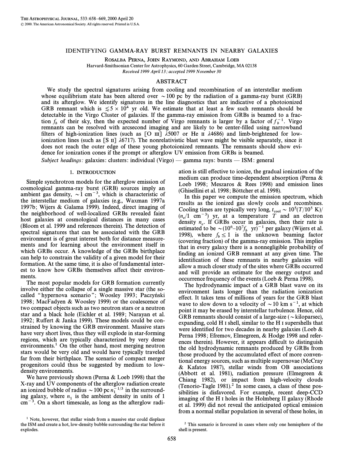### IDENTIFYING GAMMA-RAY BURST REMNANTS IN NEARBY GALAXIES

ROSALBA PERNA, JOHN RAYMOND, AND ABRAHAM LOEB

Harvard-Smithsonian Center for Astrophysics, 60 Garden Street, Cambridge, MA 02138 Received 1999 April 13; accepted 1999 November 30

## ABSTRACT

We study the spectral signatures arising from cooling and recombination of an interstellar medium whose equilibrium state has been altered over  $\sim$  100 pc by the radiation of a gamma-ray burst (GRB) and its afterglow. We identify signatures in the line diagnostics that are indicative of a photoionized GRB remnant which is  $\le 5 \times 10^4$  yr old. We estimate that at least a few such remnants should be detectable in the Virgo Cluster of galaxies. If the gamma-ray emission from GRBs is beamed to a fraction  $f_b$  of their sky, then the expected number of Virgo remnants is larger by a factor of  $f_b^{-1}$ . Virgo remnants can be resolved with arcsecond imaging and are likely to be center-filled using narrowhand remnants can be resolved with arcsecond imaging and are likely to be center-filled using narrowband filters of high-ionization lines (such as [O III]  $\lambda$ 5007 or He II  $\lambda$ 4686) and limb-brightened for lowionization lines (such as [S II]  $\lambda$ 6717). The nonrelativistic blast wave might be visible separately, since it does not reach the outer edge of these young photoionized remnants. The remnants should show evidence for ionization cones if the prompt or afterglow UV emission from GRBs is beamed.

Subject headings: galaxies: clusters: individual (Virgo) — gamma rays: bursts — ISM: general

#### 1. INTRODUCTION

Simple synchrotron models for the afterglow emission of cosmological gamma-ray burst (GRB) sources imply an ambient gas density,  $\sim 1$  cm<sup>-3</sup>, which is characteristic of the interstellar medium of galaxies (e.g., Waxman 1997a 1997b; Wijers & Galama 1999). Indeed, direct imaging of the neighborhood of well-localized GRBs revealed faint host galaxies at cosmological distances in many cases (Bloom et al. 1999 and references therein). The detection of spectral signatures that can be associated with the GRB environment is of great interest both for distance measurements and for learning about the environment itself in which GRBs occur. A knowledge of the GRBs birthplace can help to constrain the validity of a given model for their formation. At the same time, it is also of fundamental interest to know how GRBs themselves affect their environments.

The most popular models for GRB formation currently involve either the collapse of a single massive star (the socalled "hypernova scenario"; Woosley 1993; Paczyński 1998; MacFadyen & Woosley 1999) or the coalescence of two compact objects such as two neutron stars or a neutron star and a black hole (Eichler et al. 1989 ; Narayan et al. 1992; Ruffert & Janka 1999). These models could be constrained by knowing the GRB environment. Massive stars have very short lives, thus they will explode in star-forming regions, which are typically characterized by very dense environments.<sup>1</sup> On the other hand, most merging neutron stars would be very old and would have typically traveled far from their birthplace. The scenario of compact merger progenitors could thus be suggested by medium to lowdensity environments.

We have previously shown (Perna & Loeb 1998) that the X-ray and UV components of the afterglow radiation create an ionized bubble of radius  $\sim$  100 pc  $n_1^{-1/3}$  in the surrounding galaxy, where  $n_1$  is the ambient density in units of 1  $cm^{-3}$ . On a short timescale, as long as the afterglow radiation is still effective to ionize, the gradual ionization of the medium can produce time-dependent absorption (Perna & Loeb 1998; Meszaros  $&$  Rees 1998) and emission lines  $(G$ hisellini et al. 1998; Böttcher et al. 1998).

In this paper we compute the emission spectrum, which results as the ionized gas slowly cools and recombines. Cooling times are typically very long,  $t_{\rm cool} \sim 10^5 (T/10^5 \text{ K})/T$  $(n_e/1 \text{ cm}^{-3})$  yr, at a temperature T and an electron density n. If GPBs occur in coloxise then their rate is density  $n_e$ . If GRBs occur in galaxies, then their rate is estimated to be  $\sim (10^6 - 10^7 f_b$  yr)<sup>-1</sup> per galaxy (Wijers et al. estimated to be  $\sim (10^6-10^7f_b \text{ yr})^{-1}$  per galaxy (Wijers et al. 1998), where  $f_b \le 1$  is the unknown beaming factor (covering fraction) of the gamma-ray emission. This implies that in every galaxy there is a nonnegligible probability of finding an ionized GRB remnant at any given time. The identification of these remnants in nearby galaxies will allow a much closer study of the sites where GRBs occurred and will provide an estimate for the energy output and occurrence frequency of the events (Loeb & Perna 1998).

The hydrodynamic impact of a GRB blast wave on its environment lasts longer than the radiation ionization effect. It takes tens of millions of years for the GRB blast wave to slow down to a velocity of  $\sim$  10 km s<sup>-1</sup>, at which point it may be erased by interstellar turbulence. Hence, old GRB remnants should consist of a large-size ( $\sim$ kiloparsec), expanding, cold H I shell, similar to the H I supershells that were identified for two decades in nearby galaxies (Loeb  $\&$ Perna 1998; Efremov, Elmegreen, & Hodge 1998 and references therein). However, it appears difficult to distinguish the old hydrodynamic remnants produced by GRBs from those produced by the accumulated effect of more conventional energy sources, such as multiple supernovae (McCray & Kafatos 1987), stellar winds from OB associations (Abbott et al. 1981), radiation pressure (Elmegreen & Chiang 1982), or impact from high-velocity clouds (Tenorio-Tagle 1981).<sup>2</sup> In some cases, a class of these possibilities is disfavored. For example, recent deep-CCD imaging of the H I holes in the Holmberg II galaxy (Rhode et al. 1999) did not reveal the anticipated optical emission from a normal stellar population in several of these holes, in

 $1$  Note, however, that stellar winds from a massive star could displace the ISM and create a hot, low-density bubble surrounding the star before it explodes.

<sup>2</sup> This scenario is favoured in cases where only one hemisphere of the shell is present.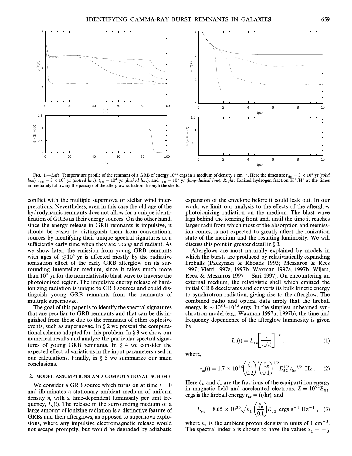

FIG. 1.—Left: Temperature profile of the remnant of a GRB of energy 10<sup>52</sup> ergs in a medium of density 1 cm<sup>-3</sup>. Here the times are  $t_{obs} = 3 \times 10^2$  yr (solid line),  $t_{obs} = 3 \times 10^3$  yr (dotted line),  $t_{obs} = 10^4$  yr (dashed line), and  $t_{obs} = 10^5$  yr (long-dashed line). Right: Ionized hydrogen fraction H<sup>+</sup>/H<sup>0</sup> at the times immediately following the passage of the afterglow r immediately following the passage of the afterglow radiation through the shells.

conflict with the multiple supernova or stellar wind interpretations. Nevertheless, even in this case the old age of the hydrodynamic remnants does not allow for a unique identification of GRBs as their energy sources. On the other hand, since the energy release in GRB remnants is impulsive, it should be easier to distinguish them from conventional sources by identifying their unique spectral signatures at a sufficiently early time when they are *young* and radiant. As we show later, the emission from young GRB remnants with ages of  $\leq 10^4$  yr is affected mostly by the radiative ionization effect of the early GRB afterglow on its surrounding interstellar medium, since it takes much more than  $10<sup>4</sup>$  yr for the nonrelativistic blast wave to traverse the photoionized region. The impulsive energy release of hardionizing radiation is unique to GRB sources and could distinguish young GRB remnants from the remnants of multiple supernovae.

The goal of this paper is to identify the spectral signatures that are peculiar to GRB remnants and that can be distinguished from those due to the remnants of other explosive events, such as supernovae. In  $\S 2$  we present the computational scheme adopted for this problem. In  $\S$  3 we show our numerical results and analyze the particular spectral signatures of young GRB remnants. In  $\S$  4 we consider the expected effect of variations in the input parameters used in our calculations. Finally, in  $\S$  5 we summarize our main conclusions.

### 2. MODEL ASSUMPTIONS AND COMPUTATIONAL SCHEME

We consider a GRB source which turns on at time  $t = 0$ and illuminates a stationary ambient medium of uniform density n, with a time-dependent luminosity per unit frequency,  $L<sub>v</sub>(t)$ . The release in the surrounding medium of a large amount of ionizing radiation is a distinctive feature of large amount of ionizing radiation is a distinctive feature of GRBs and their afterglows, as opposed to supernova explosions, where any impulsive electromagnetic release would not escape promptly, but would be degraded by adiabatic expansion of the envelope before it could leak out. In our work, we limit our analysis to the effects of the afterglow photoionizing radiation on the medium. The blast wave lags behind the ionizing front and, until the time it reaches larger radii from which most of the absorption and reemission comes, is not expected to greatly affect the ionization state of the medium and the resulting luminosity. We will discuss this point in greater detail in  $\S 3$ .

Afterglows are most naturally explained by models in which the bursts are produced by relativistically expanding fireballs (Paczyński & Rhoads 1993; Meszaros & Rees 1997; Vietri 1997a, 1997b; Waxman 1997a, 1997b; Wijers, Rees, & Meszaros 1997; ; Sari 1997). On encountering an external medium, the relativistic shell which emitted the initial GRB decelerates and converts its bulk kinetic energy to synchrotron radiation, giving rise to the afterglow. The combined radio and optical data imply that the fireball energy is  $\sim$  10<sup>51</sup>–10<sup>52</sup> ergs. In the simplest unbeamed synchrotron model (e.g., Waxman 1997a, 1997b), the time and frequency dependence of the afterglow luminosity is given by

$$
L_{\mathbf{v}}(t) = L_{\mathbf{v}_{m}} \left[ \frac{\mathbf{v}}{\mathbf{v}_{m}(t)} \right]^{-\alpha}, \qquad (1)
$$

where,

$$
v_m(t) = 1.7 \times 10^{16} \left(\frac{\xi_e}{0.2}\right)^2 \left(\frac{\xi_B}{0.1}\right)^{1/2} E_{52}^{1/2} t_{hr}^{-3/2}
$$
 Hz. (2)

Here  $\xi_B$  and  $\xi_e$  are the fractions of the equipartition energy<br>in magnetic field and accelerated electrons  $F = 10^{52}F$ in magnetic field and accelerated electrons,  $E = 10^{52}E_{52}$ 

is the fireball energy 
$$
t_{\text{hr}} \equiv (t/\text{hr})
$$
, and  
\n $L_{v_m} = 8.65 \times 10^{29} \sqrt{n_1} \left(\frac{\xi_B}{0.1}\right) E_{52} \text{ ergs s}^{-1} \text{ Hz}^{-1}$ , (3)

where  $n_1$  is the ambient proton density in units of 1 cm<sup>-3</sup>.<br>The spectral index  $\alpha$  is chosen to have the values  $\alpha_1 = -\frac{1}{3}$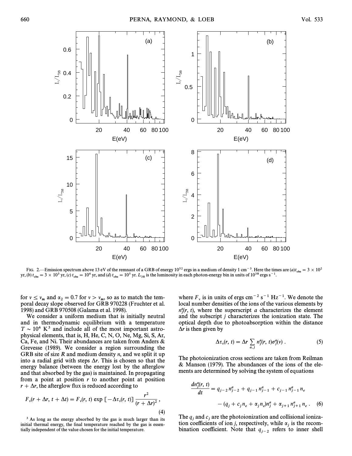

FIG. 2.—Emission spectrum above 13 eV of the remnant of a GRB of energy  $10^{52}$  ergs in a medium of density 1 cm<sup>-3</sup>. Here the times are  $(a)t_{obs} = 3 \times 10^2$ <br>(b)  $t = 3 \times 10^3$  yr (c)  $t = 10^4$  yr and (d)  $t = 10^5$  yr L is t yr, (b)  $t_{\text{obs}} = 3 \times 10^3$  yr, (c)  $t_{\text{obs}} = 10^4$  yr, and (d)  $t_{\text{obs}} = 10^5$  yr.  $L_{38}$  is the luminosity in each photon-energy bin in units of  $10^{38}$  ergs s<sup>-1</sup>.

for  $v \le v_m$  and  $\alpha_2 = 0.7$  for  $v > v_m$ , so as to match the tem-<br>poral decay slope observed for GRB 970228 (Eruchter et al. poral decay slope observed for GRB 970228 (Fruchter et al. 1998) and GRB 970508 (Galama et al. 1998).

We consider a uniform medium that is initially neutral and in thermodynamic equilibrium with a temperature  $T \sim 10^4$  K<sup>3</sup> and include all of the most important astrophysical elements, that is, H, He, C, N, O, Ne, Mg, Si, S, Ar, Ca, Fe, and Ni. Their abundances are taken from Anders & Grevesse (1989). We consider a region surrounding the GRB site of size  $R$  and medium density  $n$ , and we split it up into a radial grid with steps  $\Delta r$ . This is chosen so that the energy balance (between the energy lost by the afterglow and that absorbed by the gas) is maintained. In propagating from a point at position  $r$  to another point at position  $r + \Delta r$ , the afterglow flux is reduced according to

$$
F_{\nu}(r + \Delta r, t + \Delta t) = F_{\nu}(r, t) \exp \left[ -\Delta \tau_{\nu}(r, t) \right] \frac{r^2}{(r + \Delta r)^2},
$$
\n(4)

<sup>3</sup> As long as the energy absorbed by the gas is much larger than its initial thermal energy, the final temperature reached by the gas is essentially independent of the value chosen for the initial temperature.

where  $F_v$  is in units of ergs cm<sup>-2</sup> s<sup>-1</sup> Hz<sup>-1</sup>. We denote the local number densities of the ions of the various elements by  $n_j^a(r, t)$ , where the superscript a characterizes the element and the subscript i characterizes the ionization state. The and the subscript j characterizes the ionization state. The optical depth due to photoabsorption within the distance  $\Delta r$  is then given by

$$
\Delta \tau_{\nu}(r, t) = \Delta r \sum_{a,j} n_j^a(r, t) \sigma_j^a(\nu) . \qquad (5)
$$

The photoionization cross sections are taken from Reilman & Manson (1979). The abundances of the ions of the elements are determined by solving the system of equations

$$
\frac{dn_j^a(r, t)}{dt} = q_{j-2} n_{j-2}^a + q_{j-1} n_{j-1}^a + c_{j-1} n_{j-1}^a n_e
$$

$$
- (q_j + c_j n_e + \alpha_j n_e) n_j^a + \alpha_{j+1} n_{j+1}^a n_e. \quad (6)
$$

The  $q_j$  and  $c_j$  are the photoionization and collisional ioniza-<br>tion coefficients of ion i respectively, while  $\alpha$  is the recomtion coefficients of ion j, respectively, while  $\alpha_i$  is the recombination coefficient. Note that  $q_{j-2}$  refers to inner shell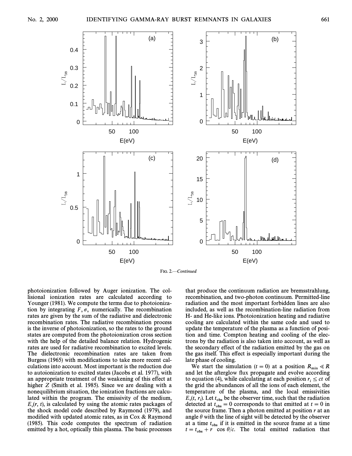

FIG. 2.-Continued

photoionization followed by Auger ionization. The collisional ionization rates are calculated according to Younger (1981). We compute the terms due to photoionization by integrating  $F_y \sigma_y$  numerically. The recombination rates are given by the sum of the radiative and dielectronic rates are given by the sum of the radiative and dielectronic recombination rates. The radiative recombination process is the inverse of photoionization, so the rates to the ground states are computed from the photoionization cross section with the help of the detailed balance relation. Hydrogenic rates are used for radiative recombination to excited levels. The dielectronic recombination rates are taken from Burgess (1965) with modifications to take more recent calculations into account. Most important is the reduction due to autoionization to excited states (Jacobs et al. 1977), with an appropriate treatment of the weakening of this effect at higher Z (Smith et al. 1985). Since we are dealing with a nonequilibrium situation, the ionization fractions are calculated within the program. The emissivity of the medium,  $E_y(r, t)$ , is calculated by using the atomic rates packages of the shock model code described by Raymond (1979), and the shock model code described by Raymond (1979), and modified with updated atomic rates, as in Cox  $\&$  Raymond (1985). This code computes the spectrum of radiation emitted by a hot, optically thin plasma. The basic processes

that produce the continuum radiation are bremsstrahlung, recombination, and two-photon continuum. Permitted-line radiation and the most important forbidden lines are also included, as well as the recombination-line radiation from H- and He-like ions. Photoionization heating and radiative cooling are calculated within the same code and used to update the temperature of the plasma as a function of position and time. Compton heating and cooling of the electrons by the radiation is also taken into account, as well as the secondary effect of the radiation emitted by the gas on the gas itself. This effect is especially important during the late phase of cooling.

We start the simulation ( $t = 0$ ) at a position  $R_{\min} \ll R$ and let the afterglow flux propagate and evolve according to equation (4), while calculating at each position  $r_i \le ct$  of to equation (*i*), while calculating at each position  $r_i \leq ct$  of the grid the abundances of all the ions of each element, the temperature of the plasma, and the local emissivities  $E_y(t, r_i)$ . Let  $t_{obs}$  be the observer time, such that the radiation detected at  $t = 0$  corresponds to that emitted at  $t = 0$  in  $L_v(t, t)$ . Let  $t_{obs}$  be the observer time, such that the radiation<br>detected at  $t_{obs} = 0$  corresponds to that emitted at  $t = 0$  in the source frame. Then a photon emitted at position  $r$  at an angle  $\theta$  with the line of sight will be detected by the observer at a time  $t_{obs}$  if it is emitted in the source frame at a time  $t = t_{\text{obs}} + r \cos \theta/c$ . The total emitted radiation that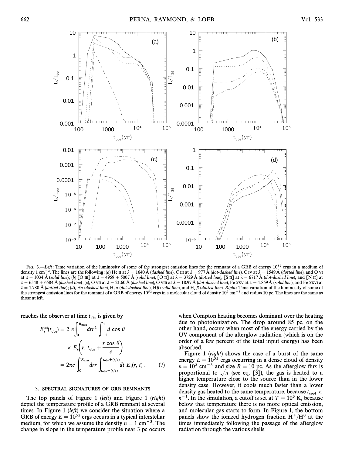

FIG. 3.—Left: Time variation of the luminosity of some of the strongest emission lines for the remnant of a GRB of energy  $10^{52}$  ergs in a medium of density 1 cm<sup>-3</sup>. The lines are the following: (a) He II at  $\lambda = 1640 \text{ Å}$  (dashed line), C III at  $\lambda = 977 \text{ Å}$  (dot-dashed line), C IV at  $\lambda = 1549 \text{ Å}$  (dotted line), and O VI at  $\lambda = 1034$  Å (solid line); (b) [O III] at  $\lambda = 4959 + 5007$  Å (solid line), [O II] at  $\lambda = 3729$  Å (dotted line), [S II] at  $\lambda = 6717$  Å (dot-dashed line), and [N II] at  $\lambda = 6548 + 6584 \text{ Å}$  (dashed line); (c), O VII at  $\lambda = 21.60 \text{ Å}$  (dashed line), O VIII at  $\lambda = 18.97 \text{ Å}$  (dot-dashed line), Fe XXV at  $\lambda = 1.859 \text{ Å}$  (solid line), and Fe XXVI at  $\lambda = 1.780$  Å (dotted line); (d), H $\alpha$  (dashed line), H<sub>c</sub>  $\alpha$  (dot-dashed line), H $\beta$  (solid line), and H<sub>c</sub>  $\beta$  (dotted line). Right: Time variation of the luminosity of some of the streamed and contact envission li the strongest emission lines for the remnant of a GRB of energy  $10^{52}$  ergs in a molecular cloud of density  $10^2$  cm<sup>-3</sup> and radius 10 pc. The lines are the same as those at left.

reaches the observer at time 
$$
t_{\text{obs}}
$$
 is given by  
\n
$$
E_v^{\text{tot}}(t_{\text{obs}}) = 2 \pi \int_0^{R_{\text{max}}} dr r^2 \int_{-1}^1 d \cos \theta
$$
\n
$$
\times E_v \left( r, t_{\text{obs}} + \frac{r \cos \theta}{c} \right)
$$
\n
$$
= 2 \pi c \int_0^{R_{\text{max}}} dr r \int_{t_{\text{obs}} - (r/c)}^{t_{\text{obs}} + (r/c)} dt E_v(r, t) . \tag{7}
$$

## 3. SPECTRAL SIGNATURES OF GRB REMNANTS

The top panels of Figure 1 (left) and Figure 1 (right) depict the temperature profile of a GRB remnant at several times. In Figure 1 (left) we consider the situation where a GRB of energy  $E = 10^{52}$  ergs occurs in a typical interstellar medium, for which we assume the density  $n = 1$  cm<sup>-3</sup>. The change in slope in the temperature profile near 3 pc occurs

when Compton heating becomes dominant over the heating due to photoionization. The drop around 85 pc, on the other hand, occurs when most of the energy carried by the UV component of the afterglow radiation (which is on the order of a few percent of the total input energy) has been absorbed.

Figure 1 (right) shows the case of a burst of the same energy  $E = 10^{52}$  ergs occurring in a dense cloud of density  $n = 10^2$  cm<sup>-3</sup> and size  $R = 10$  pc. As the afterglow flux is proportional to  $\sqrt{n}$  (see eq. [3]), the gas is heated to a higher temperature close to the source than in the lower density case. However, it cools much faster than a lower density gas heated to the same temperature, because  $t_{\text{cool}} \propto$ <br> $n^{-1}$ . In the simulation, a qutoff is set at  $T = 10^3$  K, because  $n^{-1}$ . In the simulation, a cutoff is set at  $T = 10^3$  K, because below that temperature there is no more optical emission, and molecular gas starts to form. In Figure 1, the bottom panels show the ionized hydrogen fraction  $H^+/H^0$  at the times immediately following the passage of the afterglow radiation through the various shells.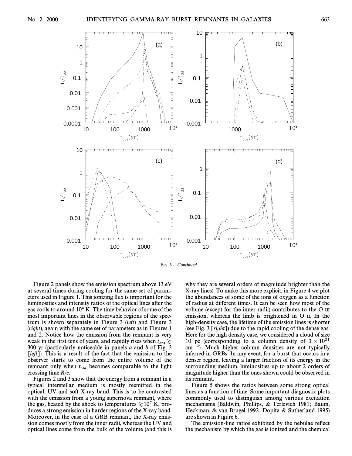

Figure 2 panels show the emission spectrum above 13 eV at several times during cooling for the same set of parameters used in Figure 1. This ionizing flux is important for the luminosities and intensity ratios of the optical lines after the gas cools to around  $10^4$  K. The time behavior of some of the most important lines in the observable regions of the spectrum is shown separately in Figure 3 (left) and Figure 3 (right), again with the same set of parameters as in Figures 1 and 2. Notice how the emission from the remnant is very weak in the first tens of years, and rapidly rises when  $t_{obs} \gtrsim$ <br>300 yr (particularly noticeable in panels a and b of Fig. 3 300 yr (particularly noticeable in panels a and b of Fig. 3  $[left]$ ). This is a result of the fact that the emission to the observer starts to come from the entire volume of the remnant only when  $t_{obs}$  becomes comparable to the light crossing time  $R/c$ crossing time  $R/c$ .

Figures 2 and 3 show that the energy from a remnant in a typical interstellar medium is mostly reemitted in the optical, UV and soft X-ray band. This is to be contrasted with the emission from a young supernova remnant, where the gas, heated by the shock to temperatures  $\gtrsim 10^7$  K, produces a strong emission in harder regions of the X-ray band. Moreover, in the case of a GRB remnant, the X-ray emission comes mostly from the inner radii, whereas the UV and optical lines come from the bulk of the volume (and this is why they are several orders of magnitude brighter than the X-ray lines). To make this more explicit, in Figure 4 we plot the abundances of some of the ions of oxygen as a function of radius at di†erent times. It can be seen how most of the volume (except for the inner radii) contributes to the O III emission, whereas the limb is brightened in O II. In the high-density case, the lifetime of the emission lines is shorter (see Fig. 3 [right]) due to the rapid cooling of the dense gas. Here for the high density case, we considered a cloud of size 10 pc (corresponding to a column density of  $3 \times 10^{21}$  $\text{cm}^{-2}$ ). Much higher column densities are not typically inferred in GRBs. In any event, for a burst that occurs in a denser region, leaving a larger fraction of its energy in the surrounding medium, luminosities up to about 2 orders of magnitude higher than the ones shown could be observed in its remnant.

Figure 5 shows the ratios between some strong optical lines as a function of time. Some important diagnostic plots commonly used to distinguish among various excitation mechanisms (Baldwin, Phillips, & Terlevich 1981; Baum, Heckman, & van Brugel 1992; Dopita & Sutherland 1995) are shown in Figure 6.

The emission-line ratios exhibited by the nebulae reflect the mechanism by which the gas is ionized and the chemical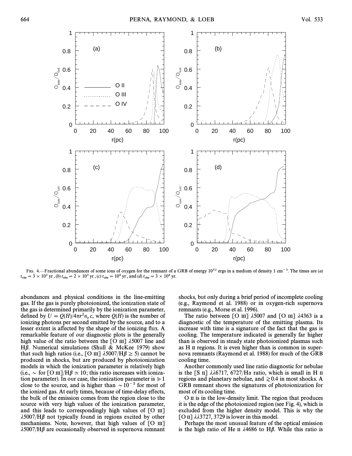

FIG. 4.—Fractional abundances of some ions of oxygen for the remnant of a GRB of energy  $10^{52}$  ergs in a medium of density 1 cm<sup>-3</sup>. The times are (a)  $t_{\rm obs} = 3 \times 10^2 \text{ yr}$  , (b)  $t_{\rm obs} = 2 \times 10^3 \text{ yr}$  , (c)  $t_{\rm obs} = 10^4 \text{ yr}$  , and (d)  $t_{\rm obs} = 3 \times 10^4 \text{ yr}$ .

abundances and physical conditions in the line-emitting gas. If the gas is purely photoionized, the ionization state of the gas is determined primarily by the ionization parameter, defined by  $U = Q(H)/4\pi r^2 n_e c$ , where  $Q(H)$  is the number of ionizing photons per second emitted by the source and to a ionizing photons per second emitted by the source, and to a lesser extent is affected by the shape of the ionizing flux. A remarkable feature of our diagnostic plots is the generally high value of the ratio between the [O  $\text{III}$ ]  $\lambda$ 5007 line and H $\beta$ . Numerical simulations (Shull & McKee 1979) show that such high ratios (i.e.,  $\lceil O \text{ III} \rceil$   $\lambda$ 5007/H $\beta$   $\geq$  5) cannot be produced in shocks, but are produced by photoionization models in which the ionization parameter is relatively high (i.e.,  $\sim$  for [O III]/H $\beta \simeq 10$ ; this ratio increases with ionization parameter). In our case, the ionization parameter is  $\ge 1$ close to the source, and is higher than  $\sim 10^{-3}$  for most of the ionized gas. At early times, because of time-delay e†ects, the bulk of the emission comes from the region close to the source with very high values of the ionization parameter, and this leads to correspondingly high values of  $[O \text{ m}]$  $\lambda$ 5007/H $\beta$  not typically found in regions excited by other mechanisms. Note, however, that high values of  $[O \text{ III}]$  $\lambda$ 5007/H $\beta$  are occasionally observed in supernova remnant shocks, but only during a brief period of incomplete cooling (e.g., Raymond et al. 1988) or in oxygen-rich supernova remnants (e.g., Morse et al. 1996).

The ratio between  $\lceil$  O III]  $\lambda$ 5007 and  $\lceil$  O III]  $\lambda$ 4363 is a diagnostic of the temperature of the emitting plasma. Its increase with time is a signature of the fact that the gas is cooling. The temperature indicated is generally far higher than is observed in steady state photoionized plasmas such as H II regions. It is even higher than is common in supernova remnants (Raymond et al. 1988) for much of the GRB cooling time.

Another commonly used line ratio diagnostic for nebulae is the [S II]  $\lambda\lambda$ 6717, 6727/H $\alpha$  ratio, which is small in H II regions and planetary nebulae, and  $\geq 0.4$  in most shocks. A GRB remnant shows the signatures of photoionization for most of its cooling time.

O II is in the low-density limit. The region that produces it is the edge of the photoionized region (see Fig. 4), which is excluded from the higher density model. This is why the [O II]  $\lambda\lambda$ 3727, 3729 is lower in this model.

Perhaps the most unusual feature of the optical emission is the high ratio of He II  $\lambda$ 4686 to H $\beta$ . While this ratio is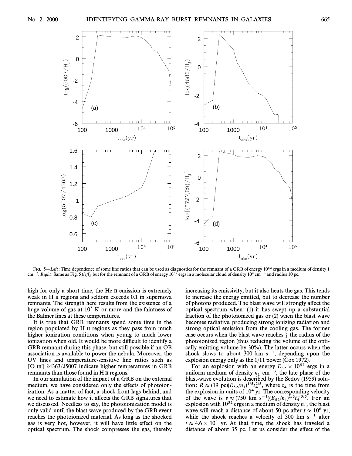

FIG. 5—Left: Time dependence of some line ratios that can be used as diagnostics for the remnant of a GRB of energy  $10^{52}$  ergs in a medium of density 1 cm<sup>-3</sup>. Right: Same as Fig. 5 (left), but for the remnant of a GRB of energy  $10^{52}$  ergs in a molecular cloud of density  $10^2$  cm<sup>-3</sup> and radius 10 pc.

high for only a short time, the He II emission is extremely weak in H II regions and seldom exceeds 0.1 in supernova remnants. The strength here results from the existence of a huge volume of gas at  $10<sup>5</sup>$  K or more and the faintness of the Balmer lines at these temperatures.

It is true that GRB remnants spend some time in the region populated by H II regions as they pass from much higher ionization conditions when young to much lower ionization when old. It would be more difficult to identify a GRB remnant during this phase, but still possible if an OB association is available to power the nebula. Moreover, the UV lines and temperature-sensitive line ratios such as [O  $\text{III}$ ]  $\lambda$ 4363/ $\lambda$ 5007 indicate higher temperatures in GRB remnants than those found in H II regions.

In our simulation of the impact of a GRB on the external medium, we have considered only the effects of photoionization. As a matter of fact, a shock front lags behind, and we need to estimate how it affects the GRB signatures that we discussed. Needless to say, the photoionization model is only valid until the blast wave produced by the GRB event reaches the photoionized material. As long as the shocked gas is very hot, however, it will have little e†ect on the optical spectrum. The shock compresses the gas, thereby increasing its emissivity, but it also heats the gas. This tends to increase the energy emitted, but to decrease the number of photons produced. The blast wave will strongly a†ect the optical spectrum when:  $(1)$  it has swept up a substantial fraction of the photoionized gas or (2) when the blast wave becomes radiative, producing strong ionizing radiation and strong optical emission from the cooling gas. The former case occurs when the blast wave reaches  $\frac{2}{3}$  the radius of the <sup>3</sup> photoionized region (thus reducing the volume of the optically emitting volume by 30%). The latter occurs when the shock slows to about 300 km  $s^{-1}$ , depending upon the explosion energy only as the 1/11 power (Cox 1972).

For an explosion with an energy  $E_{52} \times 10^{52}$  ergs in a energy  $E_{52}$  in a E52 of the E52 of the E52 of the E52 of the E52 of the E52 of the E52 of the E52 of the E52 of the E52 of the E52 of the E52 of the E52 of the uniform medium of density  $n_1$  cm<sup>-3</sup>, the late phase of the blast-wave evolution is described by the Sedov (1959) solution:  $R \approx (19 \text{ pc})(E_{52}/n_1)^{1/5}t_4^{2/5}$ , where  $t_4$  is the time from the explosion in units of 10<sup>4</sup> yr. The corresponding velocity of the wave is  $v \approx (750 \text{ km s}^{-1})(E_{52}/n_1)^{1/5}t_4^{-3/5}$ . For an explosion with  $10^{52}$  ergs in a medium of density *n* the blast explosion with  $10^{52}$  ergs in a medium of density  $n_1$ , the blast wave will reach a distance of about 50 pc after  $t \approx 10^6$  yr, while the shock reaches a velocity of 300 km  $s^{-1}$  after  $t \approx 4.6 \times 10^4$  yr. At that time, the shock has traveled a distance of about 35 pc. Let us consider the effect of the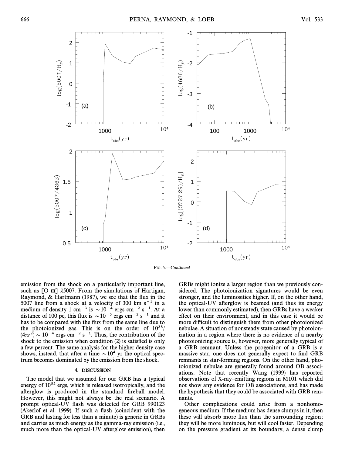



emission from the shock on a particularly important line, such as  $[O \text{III}]$   $\lambda$ 5007. From the simulations of Hartigan, Raymond,  $& Hartmann$  (1987), we see that the flux in the 5007 line from a shock at a velocity of 300 km  $s^{-1}$  in a medium of density 1 cm<sup>-3</sup> is  $\sim 10^{-4}$  ergs cm<sup>-2</sup> s<sup>-1</sup>. At a distance of 100 pc, this flux is  $\sim 10^{-5}$  ergs cm<sup>-2</sup> s<sup>-1</sup> and it has to be compared with the flux from the same line due to the photoionized gas. This is on the order of  $10^{38}$ /  $(4\pi r^2) \sim 10^{-4}$  ergs cm<sup>-2</sup> s<sup>-1</sup>. Thus, the contribution of the shock to the emission when condition  $(2)$  is satisfied is only a few percent. The same analysis for the higher density case shows, instead, that after a time  $\sim 10^4$  yr the optical spectrum becomes dominated by the emission from the shock.

### 4. DISCUSSION

The model that we assumed for our GRB has a typical energy of  $10^{52}$  ergs, which is released isotropically, and the afterglow is produced in the standard fireball model. However, this might not always be the real scenario. A prompt optical-UV Ñash was detected for GRB 990123 (Akerlof et al. 1999). If such a flash (coincident with the GRB and lasting for less than a minute) is generic in GRBs and carries as much energy as the gamma-ray emission (i.e., much more than the optical-UV afterglow emission), then GRBs might ionize a larger region than we previously considered. The photoionization signatures would be even stronger, and the luminosities higher. If, on the other hand, the optical-UV afterglow is beamed (and thus its energy lower than commonly estimated), then GRBs have a weaker effect on their environment, and in this case it would be more difficult to distinguish them from other photoionized nebulae. A situation of nonsteady state caused by photoionization in a region where there is no evidence of a nearby photoionizing source is, however, more generally typical of a GRB remnant. Unless the progenitor of a GRB is a massive star, one does not generally expect to find GRB remnants in star-forming regions. On the other hand, photoionized nebulae are generally found around OB associations. Note that recently Wang (1999) has reported observations of X-ray-emitting regions in M101 which did not show any evidence for OB associations, and has made the hypothesis that they could be associated with GRB remnants.

Other complications could arise from a nonhomogeneous medium. If the medium has dense clumps in it, then these will absorb more flux than the surrounding region; they will be more luminous, but will cool faster. Depending on the pressure gradient at its boundary, a dense clump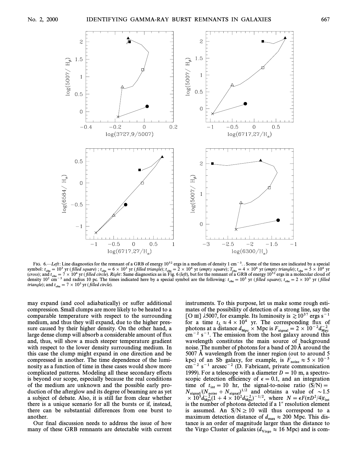

FIG. 6.—Left: Line diagnostics for the remnant of a GRB of energy  $10^{52}$  ergs in a medium of density 1 cm<sup>-3</sup>. Some of the times are indicated by a special symbol:  $t_{obs} = 10^3$  yr (filled square) ;  $t_{obs} = 6 \times 10^3$  yr (filled triangle);  $t_{obs} = 2 \times 10^4$  yr (empty square);  $T_{obs} = 4 \times 10^4$  yr (empty triangle);  $t_{obs} = 5 \times 10^4$  yr ( $\epsilon$  and  $t = 7 \times 10^4$  yr ( $\epsilon$ illed circle). (cross); and  $t_{obs} = 7 \times 10^4$  yr (filled circle). Right: Same diagnostics as in Fig. 6 (left), but for the remnant of a GRB of energy  $10^{52}$  ergs in a molecular cloud of density  $10^2$  cm<sup>-3</sup> and radius 10 pc. The times density 10<sup>2</sup> cm<sup>-3</sup> and radius 10 pc. The times indicated here by a special symbol are the following:  $t_{obs} = 10^3$  yr (filled square);  $t_{obs} = 2 \times 10^3$  yr (filled times) *triangle*); and  $t_{\text{obs}} = 7 \times 10^3$  yr (*filled circle*).

may expand (and cool adiabatically) or suffer additional compression. Small clumps are more likely to be heated to a comparable temperature with respect to the surrounding medium, and thus they will expand, due to the higher pressure caused by their higher density. On the other hand, a large dense clump will absorb a considerable amount of flux and, thus, will show a much steeper temperature gradient with respect to the lower density surrounding medium. In this case the clump might expand in one direction and be compressed in another. The time dependence of the luminosity as a function of time in these cases would show more complicated patterns. Modeling all these secondary effects is beyond our scope, especially because the real conditions of the medium are unknown and the possible early production of the afterglow and its degree of beaming are as yet a subject of debate. Also, it is still far from clear whether there is a unique scenario for all the bursts or if, instead, there can be substantial di†erences from one burst to another.

Our final discussion needs to address the issue of how many of these GRB remnants are detectable with current

instruments. To this purpose, let us make some rough estimates of the possibility of detection of a strong line, say the [O III]  $\lambda$ 5007, for example. Its luminosity is  $\gtrsim 10^{37}$  ergs s<sup>-1</sup> for a time  $t_L \approx 4 \times 10^4$  yr. The corresponding flux of photons at a distance  $d_{Mpc} \times Mpc$  is  $F_{signal} = 2 \times 10^{-2} d_{Mpc}^{-2}$ <br>cm<sup>-2</sup> s<sup>-1</sup>. The emission from the bost galaxy around this  $cm^{-2}$  s<sup>-1</sup>. The emission from the host galaxy around this wavelength constitutes the main source of background noise. The number of photons for a band of  $20 \text{ Å}$  around the 5007 Å wavelength from the inner region (out to around  $5$ kpc) of an Sb galaxy, for example, is  $F_{\text{noise}} \approx 5 \times 10^{-5}$  $\text{cm}^{-2}$  s<sup>-1</sup> arcsec<sup>-2</sup> (D. Fabricant, private communication 1999). For a telescope with a diameter  $D = 10$  m, a spectroscopic detection efficiency of  $\epsilon = 0.1$ , and an integration time of  $t_{\text{int}} = 10$  hr, the signal-to-noise ratio  $(S/N) = N$  $N_{\text{signal}}/(N_{\text{noise}} + N_{\text{signal}})^{1/2}$  and obtains a value of  $\sim 1.5$ <br> $\sim 10^5 J^{-2} (1 + 4 \times 10^2 J^{-2})^{-1/2}$  where  $N = \epsilon E (\pi D^2 / 4) t$  $\times 10^5 d_{\text{Mpc}}^{-2} (1 + 4 \times 10^2 d_{\text{Mpc}}^{-2})^{-1/2}$ , where  $N = \epsilon F (\pi D^2/4) t$ <br>is the number of photons detected if a 1" resolution element is the number of photons detected if a  $1<sup>′</sup>$  resolution element is assumed. An  $S/N \ge 10$  will thus correspond to a maximum detection distance of  $d_{\text{max}} \approx 200$  Mpc. This dis-<br>tance is an order of magnitude larger than the distance to tance is an order of magnitude larger than the distance to the Virgo Cluster of galaxies ( $d_{\text{Virgo}} \approx 16 \text{ Mpc}$ ) and is com-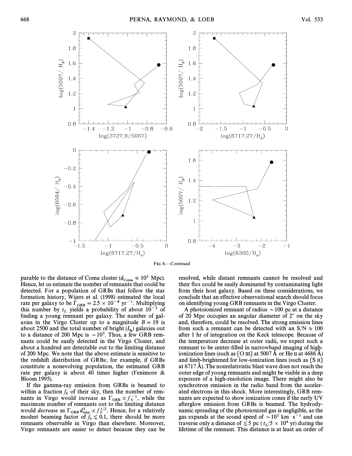

FIG. 6.<sup>-</sup>Continued

parable to the distance of Coma cluster  $(d_{\text{Coma}} \approx 10^2 \text{ Mpc})$ .<br>Hence let us estimate the number of remnants that could be Hence, let us estimate the number of remnants that could be detected. For a population of GRBs that follow the star formation history, Wijers et al. (1998) estimated the local rate per galaxy to be  $\Gamma_{\text{GRB}} = 2.5 \times 10^{-8} \text{ yr}^{-1}$ . Multiplying this number by t, vialds a probability of about  $10^{-3}$  of this number by  $t_L$  yields a probability of about  $10^{-3}$  of finding a young remnant per galaxy. The number of galaxies in the Virgo Cluster up to a magnitude  $B = 19$  is about 2500 and the total number of bright  $(L_{\star})$  galaxies out to a distance of 200 Mpc is  $\sim 10^5$ . Thus, a few GRB remnants could be easily detected in the Virgo Cluster, and about a hundred are detectable out to the limiting distance of 200 Mpc. We note that the above estimate is sensitive to the redshift distribution of GRBs; for example, if GRBs constitute a nonevolving population, the estimated GRB rate per galaxy is about 40 times higher (Fenimore & Bloom 1995).

If the gamma-ray emission from GRBs is beamed to within a fraction  $f<sub>b</sub>$  of their sky, then the number of remb nants in Virgo would increase as  $\Gamma_{GRB} \propto \frac{f_0^{-1}}{f}$ , while the nants in Virgo would increase as  $\Gamma_{GRB} \propto f_b^{-1}$ , while the maximum number of remnants out to the limiting distance would *decrease* as  $\Gamma_{GRB} d_{\text{max}}^3 \propto f_b^{1/2}$ . Hence, for a relatively modest beaming factor of  $f < 0.1$ , there should be more modest beaming factor of  $f_b \lesssim 0.1$ , there should be more remnants observable in Virgo than elsewhere Moreover remnants observable in Virgo than elsewhere. Moreover, Virgo remnants are easier to detect because they can be resolved, while distant remnants cannot be resolved and their flux could be easily dominated by contaminating light from their host galaxy. Based on these considerations, we conclude that an e†ective observational search should focus on identifying young GRB remnants in the Virgo Cluster.

A photoionized remnant of radius  $\sim$  100 pc at a distance of 20 Mpc occupies an angular diameter of  $2<sup>n</sup>$  on the sky and, therefore, could be resolved. The strong emission lines from such a remnant can be detected with an  $S/N \approx 100$ after 1 hr of integration on the Keck telescope. Because of the temperature decrease at outer radii, we expect such a remnant to be center-filled in narrowband imaging of highionization lines (such as  $\lceil$  O III] at 5007 Å or He II at 4686 Å) and limb-brightened for low-ionization lines (such as [S II] at  $6717 \text{ Å}$ ). The nonrelativistic blast wave does not reach the outer edge of young remnants and might be visible in a deep exposure of a high-resolution image. There might also be synchrotron emission in the radio band from the accelerated electrons in this shock. More interestingly, GRB remnants are expected to show ionization cones if the early UV afterglow emission from GRBs is beamed. The hydrodynamic spreading of the photoionized gas is negligible, as the gas expands at the sound speed of  $\sim 10^2$  km s<sup>-1</sup> and can traverse only a distance of  $\lesssim$  5 pc ( $t_L$ /5  $\times$  10<sup>4</sup> yr) during the lifetime of the remnant. This distance is at least an order of